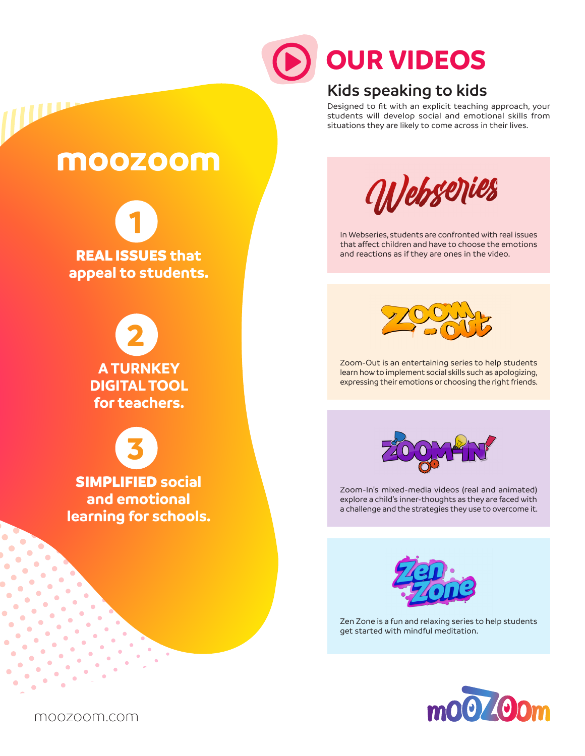

# **OUR VIDEOS**

#### **Kids speaking to kids**

Designed to fit with an explicit teaching approach, your students will develop social and emotional skills from situations they are likely to come across in their lives.

### **moozoom**

**1** REAL ISSUES **that appeal to students**.

> **2 A TURNKEY DIGITAL TOOL for teachers.**

**3** SIMPLIFIED **social and emotional learning for schools.**



In Webseries, students are confronted with real issues that affect children and have to choose the emotions and reactions as if they are ones in the video.



Zoom-Out is an entertaining series to help students learn how to implement social skills such as apologizing, expressing their emotions or choosing the right friends.



Zoom-In's mixed-media videos (real and animated) explore a child's inner-thoughts as they are faced with a challenge and the strategies they use to overcome it.



Zen Zone is a fun and relaxing series to help students get started with mindful meditation.



moozoom.com